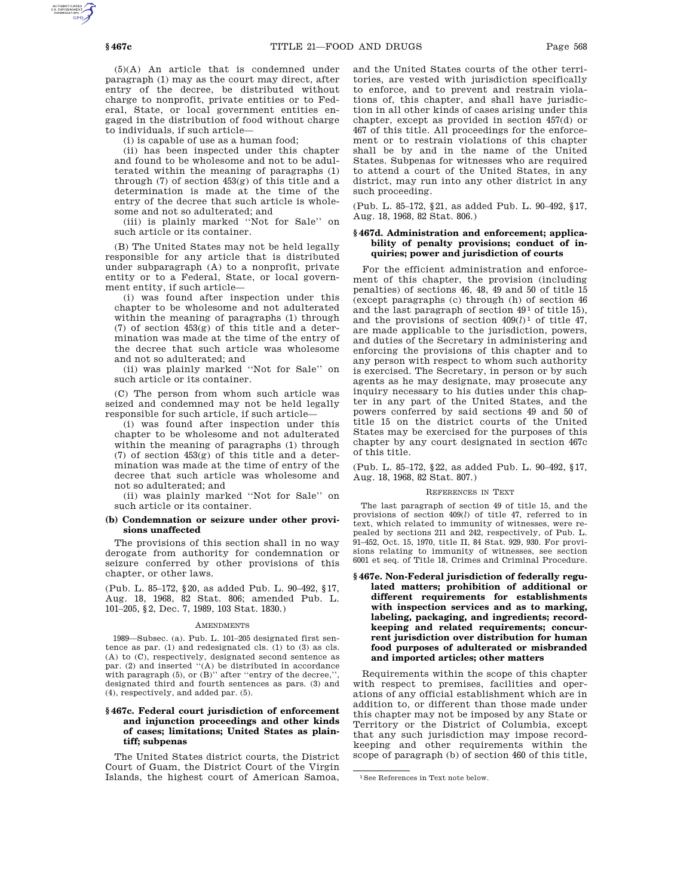(5)(A) An article that is condemned under paragraph (1) may as the court may direct, after entry of the decree, be distributed without charge to nonprofit, private entities or to Federal, State, or local government entities engaged in the distribution of food without charge to individuals, if such article—

(i) is capable of use as a human food;

(ii) has been inspected under this chapter and found to be wholesome and not to be adulterated within the meaning of paragraphs (1) through (7) of section 453(g) of this title and a determination is made at the time of the entry of the decree that such article is wholesome and not so adulterated; and

(iii) is plainly marked ''Not for Sale'' on such article or its container.

(B) The United States may not be held legally responsible for any article that is distributed under subparagraph (A) to a nonprofit, private entity or to a Federal, State, or local government entity, if such article—

(i) was found after inspection under this chapter to be wholesome and not adulterated within the meaning of paragraphs (1) through (7) of section 453(g) of this title and a determination was made at the time of the entry of the decree that such article was wholesome and not so adulterated; and

(ii) was plainly marked ''Not for Sale'' on such article or its container.

(C) The person from whom such article was seized and condemned may not be held legally responsible for such article, if such article—

(i) was found after inspection under this chapter to be wholesome and not adulterated within the meaning of paragraphs (1) through (7) of section 453(g) of this title and a determination was made at the time of entry of the decree that such article was wholesome and not so adulterated; and

(ii) was plainly marked ''Not for Sale'' on such article or its container.

## **(b) Condemnation or seizure under other provisions unaffected**

The provisions of this section shall in no way derogate from authority for condemnation or seizure conferred by other provisions of this chapter, or other laws.

(Pub. L. 85–172, §20, as added Pub. L. 90–492, §17, Aug. 18, 1968, 82 Stat. 806; amended Pub. L. 101–205, §2, Dec. 7, 1989, 103 Stat. 1830.)

#### AMENDMENTS

1989—Subsec. (a). Pub. L. 101–205 designated first sentence as par. (1) and redesignated cls. (1) to (3) as cls. (A) to (C), respectively, designated second sentence as par. (2) and inserted "(A) be distributed in accordance with paragraph  $(5)$ , or  $(B)$ " after "entry of the decree," designated third and fourth sentences as pars. (3) and (4), respectively, and added par. (5).

## **§ 467c. Federal court jurisdiction of enforcement and injunction proceedings and other kinds of cases; limitations; United States as plaintiff; subpenas**

The United States district courts, the District Court of Guam, the District Court of the Virgin Islands, the highest court of American Samoa,

and the United States courts of the other territories, are vested with jurisdiction specifically to enforce, and to prevent and restrain violations of, this chapter, and shall have jurisdiction in all other kinds of cases arising under this chapter, except as provided in section 457(d) or 467 of this title. All proceedings for the enforcement or to restrain violations of this chapter shall be by and in the name of the United States. Subpenas for witnesses who are required to attend a court of the United States, in any district, may run into any other district in any such proceeding.

(Pub. L. 85–172, §21, as added Pub. L. 90–492, §17, Aug. 18, 1968, 82 Stat. 806.)

## **§ 467d. Administration and enforcement; applicability of penalty provisions; conduct of inquiries; power and jurisdiction of courts**

For the efficient administration and enforcement of this chapter, the provision (including penalties) of sections 46, 48, 49 and 50 of title 15 (except paragraphs (c) through (h) of section 46 and the last paragraph of section  $49<sup>1</sup>$  of title 15), and the provisions of section 409(*l*) 1 of title 47, are made applicable to the jurisdiction, powers, and duties of the Secretary in administering and enforcing the provisions of this chapter and to any person with respect to whom such authority is exercised. The Secretary, in person or by such agents as he may designate, may prosecute any inquiry necessary to his duties under this chapter in any part of the United States, and the powers conferred by said sections 49 and 50 of title 15 on the district courts of the United States may be exercised for the purposes of this chapter by any court designated in section 467c of this title.

(Pub. L. 85–172, §22, as added Pub. L. 90–492, §17, Aug. 18, 1968, 82 Stat. 807.)

#### REFERENCES IN TEXT

The last paragraph of section 49 of title 15, and the provisions of section 409(*l*) of title 47, referred to in text, which related to immunity of witnesses, were repealed by sections 211 and 242, respectively, of Pub. L. 91–452, Oct. 15, 1970, title II, 84 Stat. 929, 930. For provisions relating to immunity of witnesses, see section 6001 et seq. of Title 18, Crimes and Criminal Procedure.

**§ 467e. Non-Federal jurisdiction of federally regulated matters; prohibition of additional or different requirements for establishments with inspection services and as to marking, labeling, packaging, and ingredients; recordkeeping and related requirements; concurrent jurisdiction over distribution for human food purposes of adulterated or misbranded and imported articles; other matters**

Requirements within the scope of this chapter with respect to premises, facilities and operations of any official establishment which are in addition to, or different than those made under this chapter may not be imposed by any State or Territory or the District of Columbia, except that any such jurisdiction may impose recordkeeping and other requirements within the scope of paragraph (b) of section 460 of this title,

<sup>1</sup>See References in Text note below.